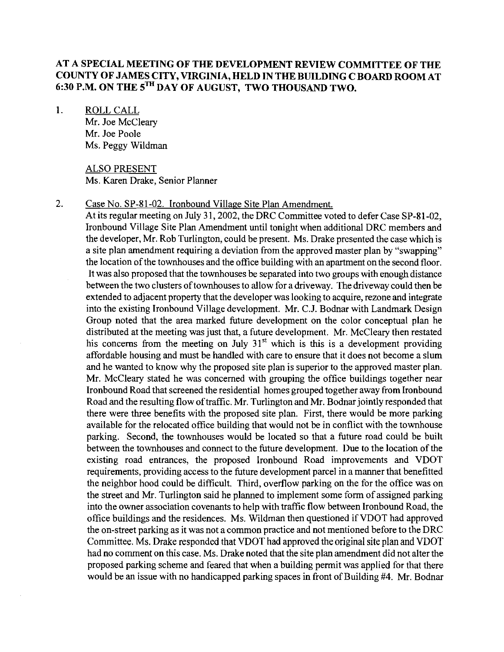# **AT A SPECIAL MEETING OF THE DEVELOPMENT REVIEW COMMITTEE OF THE COUNTY OF JAMES CITY, VIRGINIA, HELD IN THE BUILDING C BOARD ROOM AT 6:30 P.M. ON THE sTH DAY OF AUGUST, TWO THOUSAND TWO.**

1. ROLL CALL

Mr. Joe McClearv Mr. Joe Poole Ms. Peggy Wildman

ALSO PRESENT Ms. Karen Drake, Senior Planner

# 2. Case No. SP-81-02. Ironbound Village Site Plan Amendment.

At its regular meeting on July **3** 1,2002, the DRC Committee voted to defer Case SP-81-02, Ironbound Village Site Plan Amendment until tonight when additional DRC members and the developer, Mr. Rob Turlington, could be present. Ms. Drake presented the case which is a site plan amendment requiring a deviation from the approved master plan by "swapping" the location of the townhouses and the office building with an apartment on the second floor. It was also proposed that the townhouses be separated into two groups with enough distance between the two clusters of townhouses to allow for a driveway. The driveway could then be extended to adjacent property that the developer was looking to acquire, rezone and integrate into the existing Ironbound Village development. Mr. C.J. Bodnar with Landmark Design Group noted that the area marked future development on the color conceptual plan he distributed at the meeting was just that, a future development. Mr. McCleary then restated his concerns from the meeting on July 31<sup>st</sup> which is this is a development providing affordable housing and must be handled with care to ensure that it does not become a slum and he wanted to know why the proposed site plan is superior to the approved master plan. Mr. McCleary stated he was concerned with grouping the office buildings together near Ironbound Road that screened the residential homes grouped togetlher away from Ironbound Road and the resulting flow of traffic. Mr. Turlington and Mr. Bodnar jointly responded that there were three benefits with the proposed site plan. First, there would be more parking available for the relocated office building that would not be in conflict with the townhouse parking. Second, the townhouses would be located so that a future road could be built between the townhouses and connect to the future development. Due to the location of the existing road entrances, the proposed Ironbound Road improvements and VDOT requirements, providing access to the future development parcel in a manner that benefitted the neighbor hood could be difficult. Third, overflow parking on the for the office was on the street and Mr. Turlington said he planned to implement some form of assigned parking into the owner association covenants to help with traffic flow between Ironbound Road, the office buildings and the residences. Ms. wildman then questioned if VDOT had approved the on-street parking as it was not a common practice and not mentioned before to the DRC Committee. Ms. Drake responded that VDOT had approved the original site plan and VDOT had no comment on this case. Ms. Drake noted that the site plan amendment did not alter the proposed parking scheme and feared that when a building permit was applied for that there would be an issue with no handicapped parking spaces in front of Building #4. Mr. Bodnar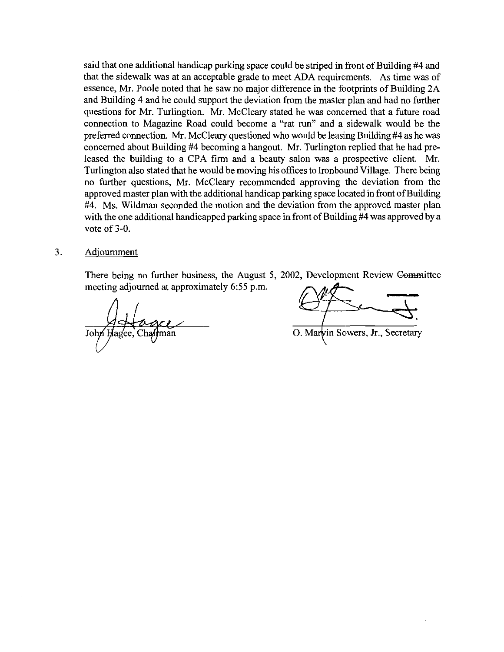said that one additional handicap parking space could be striped in front of Building #4 and that the sidewalk was at an acceptable grade to meet ADA requirements. As time was of essence, Mr. Poole noted that he saw no major difference in the footprints of Building 2A and Building 4 and he could support the deviation from the master plan and had no further questions for Mr. Turlingtion. Mr. McCleary stated he was concerned that a future road connection to Magazine Road could become a "rat **run"** and a sidewalk would be the preferred connection. Mr. McCleary questioned who would be leasing Building #4 as he was concerned about Building #4 becoming a hangout. Mr. Turlington replied that he had preleased the building to a CPA firm and a beauty salon was a prospective client. Mr. Turlington also stated that he would be moving his offices to Ironbound Village. There being no further questions, Mr. McCleary recommended approving the deviation from the approved master plan with the additional handicap parking space located in front of Building #4. Ms. Wildman seconded the motion and the deviation from the approved master plan with the one additional handicapped parking space in front of Building #4 was approved by a vote of 3-0.

#### 3. Adiournrnent

There being no further business, the August 5, 2002, Development Review Committee meeting adjourned at approximately **6:55** p.m.

O. Marvin Sowers, Jr., Secretary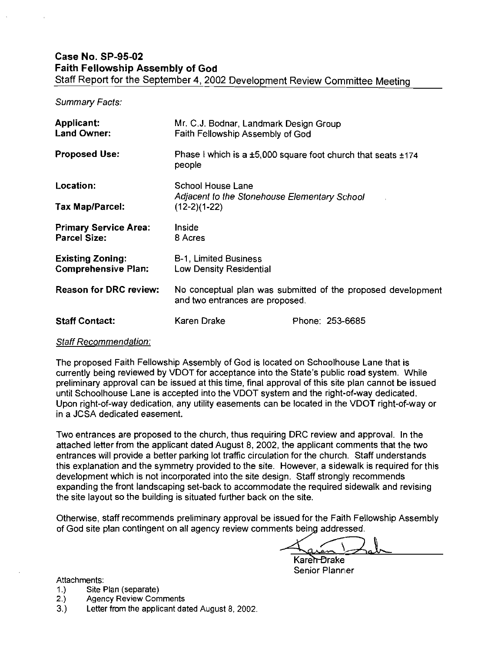Summary Facts:

| Applicant:<br><b>Land Owner:</b>                      | Mr. C.J. Bodnar, Landmark Design Group<br>Faith Fellowship Assembly of God                      |                                                                        |
|-------------------------------------------------------|-------------------------------------------------------------------------------------------------|------------------------------------------------------------------------|
| <b>Proposed Use:</b>                                  | people                                                                                          | Phase I which is a $\pm 5,000$ square foot church that seats $\pm 174$ |
| Location:                                             | School House Lane                                                                               |                                                                        |
| <b>Tax Map/Parcel:</b>                                | Adjacent to the Stonehouse Elementary School<br>$(12-2)(1-22)$                                  |                                                                        |
| <b>Primary Service Area:</b><br><b>Parcel Size:</b>   | Inside<br>8 Acres                                                                               |                                                                        |
| <b>Existing Zoning:</b><br><b>Comprehensive Plan:</b> | <b>B-1, Limited Business</b><br>Low Density Residential                                         |                                                                        |
| <b>Reason for DRC review:</b>                         | No conceptual plan was submitted of the proposed development<br>and two entrances are proposed. |                                                                        |
| <b>Staff Contact:</b>                                 | Karen Drake                                                                                     | Phone: 253-6685                                                        |

# Staff Recommendation:

The proposed Faith Fellowship Assembly of God is located on Schoolhouse Lane that is currently being reviewed by VDOT for acceptance into the State's public road system. While preliminary approval can be issued at this time, final approval of this site plan cannot be issued until Schoolhouse Lane is accepted into the VDOT system and the right-of-way dedicated. Upon right-of-way dedication, any utility easements can be located in the VDOT right-of-way or in a JCSA dedicated easement.

Two entrances are proposed to the church, thus requiring DRC review and approval. In the attached letter from the applicant dated August 8, 2002, the applicant comments that the two entrances will provide a better parking lot traftic circulation for the church. Staff understands this explanation and the symmetry provided to the site. However, a sidewalk is required for this development which is not incorporated into the site design. Staff strongly recommends expanding the front landscaping set-back to accommodate the required sidewalk and revising the site layout so the building is situated further back on the site.

Otherwise, staff recommends preliminary approval be issued for the Faith Fellowship Assembly of God site plan contingent on all agency review comments being addressed.

Karen-Brake Senior Planner

Attachments:

- 1.) Site Plan (separate)
- 2.) Agency Review Comments
- 3.) Letter from the applicant dated August 8, 2002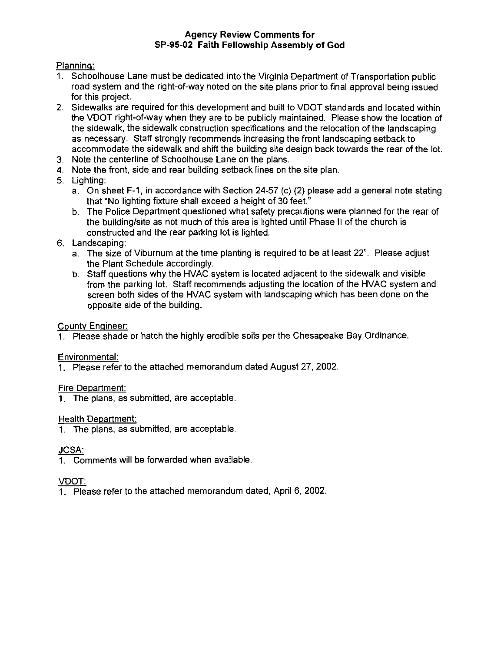# Agency Review Comments for SP-95-02 Faith Fellowship Assembly of God

Plannins:

- 1. Schoolhouse Lane must be dedicated into the Virginia Department of Transportation public road system and the right-of-way noted on the site plans prior to final approval being issued for this project.
- 2. Sidewalks are required for this development and built to VDOT standards and located within the VDOT right-of-way when they are to be publicly maintained. Please show the location of the sidewalk, the sidewalk construction specifications and the relocation of the landscaping as necessary. Staff strongly recommends increasing the front landscaping setback to accommodate the sidewalk and shift the building site design back towards the rear of the lot.
- 3. Note the centerline of Schoolhouse Lane on the plans.
- 4. Note the front, side and rear building setback lines on the site plan.
- 5. Lighting:
	- a. On sheet F-1, in accordance with Section 24-57 (c) (2) please add a general note stating that "No lighting fixture shall exceed a height of 30 feet."
	- b. The Police Department questioned what safety precautions were planned for the rear of the building/site as not much of this area is lighted until Phase II of the church is constructed and the rear parking lot is lighted.
- 6. Landscaping:
	- a. The size of Viburnum at the time planting is required to be at least 22". Please adjust the Plant Schedule accordingly.
	- b. Staff questions why the HVAC system is located adjacent to the sidewalk and visible from the parking lot. Staff recommends adjusting the location of the HVAC system and screen both sides of the HVAC system with landscaping which has been done on the opposite side of the building.

# County Engineer:

1. Please shade or hatch the highly erodible soils per the Chesapeake Bay Ordinance.

# Environmental:

1. Please refer to the attached memorandum dated August 27, 2002

# Fire Department:

1. The plans, as submitted, are acceptable.

# Health Department:

1. The plans, as submitted, are acceptable.

# **JCSA:**

1. Comments will be forwarded when available

# VDOT:

1. Please refer to the attached memorandum dated, April 6, 2002.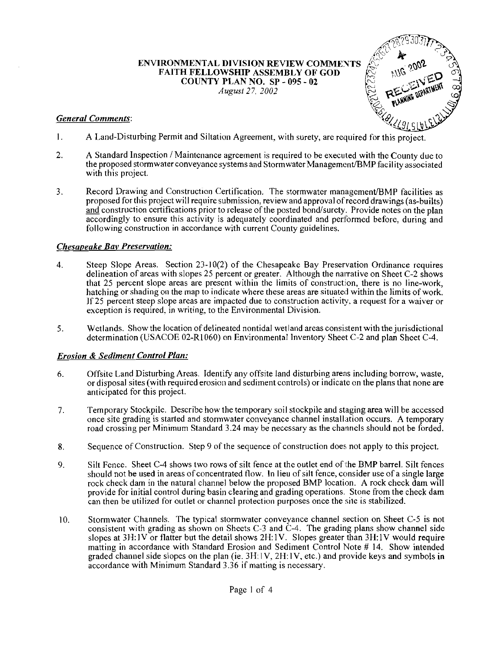ENVIRONMENTAL DIVISION REVIEW COMMEYTS , FAITH FELLOWSHIP ASSEMBLY OF GOD 1 - COUNTY PLAN NO. SP - 095 - **<sup>02</sup>** *August 27, 2002* 

## *General Comments:*



- 1. A Land-Disturbing Permit and Siltation Agreement, with surety, are required for this project.
- 2. A Standard Inspection / Maintenance agreement is required to be executed with the County due to the proposed stormwater conveyance systems and Stormwater Management/BMP facility associated with this project.
- 3. **Record Drawing and Construction Certification. The stormwater management/BMP facilities as** proposed for this projectwill requiresubmission, review and approval ofrecord drawings (as-builts) and construction certifications prior to release of the posted bond/surety. Provide notes on the plan accordingly to ensure this activity is adequately coordinated and performed before, during and following construction in accordance with current County guidelines.

#### *Chesaoeake Bav Preservation:*

- 4. Steep Slope Areas. Section 23-10(2) of the Chesapeake Bay Preservation Ordinance requires delineation of areas with slopes 25 percent or greater. Although the narrative on Sheet C-2 shows that 25 percent slope areas are present within the limits of construction, there is no line-work, hatching or shading on the map to indicate where these areas are situated within the limits of work. If 25 percent steep slope areas are impacted due to construction activity. a request for a waiver or exception is required. in writing, to the Environmental Division.
- 5. Wetlands. Show the location of delineated nontidal wetland areas consistent with the jurisdictional determination (USACOE 02-R1060) on Environmental Inventory Sheet C-2 and plan Sheet C-4.

#### *Erosion* & *Sediment Control Plan:*

- 6. Offsite Land Disturbing Areas. ldentify any offsite land disturbing areas including borrow, waste, or disposal sites (with required erosion and sediment controls) or indicate on the plans that none are anticipated for this project.
- 7. Temporary Stockpile. Describe how the temporary soil stockpile and staging area will be accessed once site grading is started and stormwater conveyance channel install.ation occurs. A temporary road crossing per Minimum Standard 3.24 may be necessary as the channels should not be forded.
- **8.** Sequence of Construction. Step 9 of the sequence of construction does not apply to this project.
- 9. Silt Fence. Sheet C-4 shows two rows of silt fence at the outlet end ofthe BMP barrel. Silt fences should not be used in areas of concentrated tlow. In lieu of silt fence, consider use of a single large rock check dam in the natural channel below the proposed BMP location. A rock check dam will provide for initial control during basin clearing and grading operations. Stone from the check dam can then be utilized for outlet or channel protection purposes once the site is stabilized.
- 10. Stormwater Channels. The typical stormwater conveyance channel section on Sheet C-5 is not consistent with grading as shown on Sheets C-3 and C-4. The grading plans show channel side slopes at 3H:lV or flatter but the detail shows 2H:lV. Slopes greater than 3H:lV would require matting in accordance with Standard Erosion and Sediment Control Note # 14. Show intended graded channel side slopes on the plan (ie. 3H: IV, 2H:lV. etc.) and provide keys and symbols in accordance with Minimum Standard 3.36 if matting is necessary.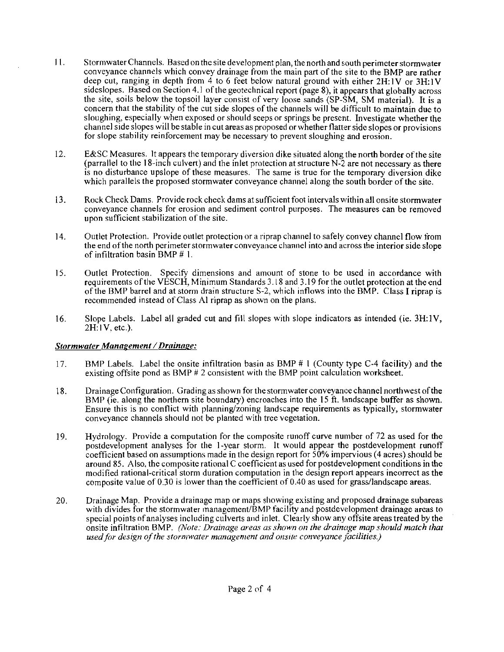- $11.$ Stormwater Channels. Based on the site development plan, the north and south perimeter stormwater conveyance channels which convey drainage from the main part of the site to the BMP are rather deep cut, ranging in depth from 4 to 6 feet below natural ground with either  $2H:IV$  or  $3H:IV$ sideslopes. Based on Section 4.1 of the geotechnical report (page 8), it appears that globally across the site, soils below the topsoil layer consist of very loose sands (SP-SM, SM material). It is a concern that the stability of the cut side slopes of the channels will be difficult to maintain due to sloughing, especially when exposed or should seeps or springs be present. Investigate whether the channel side slopes will be stable in cut areas as proposed or whether flatter side slopes or provisions for slope stability reinforcement may be necessary to prevent sloughing and erosion.
- $12.$ E&SC Measures. It appears the temporary diversion dike sitnated along the north border of the site (parrallel to the 18-inch culvert) and the inlet protection at structure N-2 are not necessary as there is no disturbance upslope of these measures. The same is true for the temporary diversion dike which parallels the proposed stormwater conveyance channel along the south border of the site.
- $13.$ Rock Check Dams. Provide rock check dams at sufficient foot intervals within all onsite stormwater conveyance channels for erosion and sediment control purposes. The measures can be removed upon sufficient stabilization of the site.
- $14.$ Outlet Protection. Provide outlet protection or a riprap channel to safely convey channel flow from the end of the north perimeter stormwater conveyance channel into and across the interior side slope of infiltration basin BMP # 1.
- $15.$ Outlet Protection. Specifv dimensions and amount of stone to be used in accordance with requirements of the VESCH, Minimum Standards 3.18 and 3.19 for the outlet protection at the end of the BMP barrel and at storm drain structure S-2, which inflows into ihe BMP. Class I riprap is recommended instead of Class A1 riprap as shown on the plans.
- Slope Labels. Label all graded cut and fill slopes with slope indicators as intended (ie. 3H:lV, 16.  $2H:IV, etc.$ ).

### **Stormwater Management / Drainage:**

- $17.$ RMP Labels. Label the onsite infiltration basin as BMP # I (County type C-4 facility) and the existing offsite pond as BMP  $# 2$  consistent with the BMP point calculation worksheet.
- Drainage Configuration. Grading as shown for the stormwater conveyance channel northwest ofthe 18. BMP (ie. along the northern site boundary) encroaches into the 15 ft. landscape buffer as shown. Ensure this is no conflict with planning/zoning landscape requirements as typically, stormwater conveyance channels should not be planted with tree vegetation.
- 19. Hydrology. Provide a computation for the composite runoff curve number of 72 as used for the postdevelopment analyses for the 1-year storm. It would appear the postdevelopment runoff coefficient based on assumptions made in the design report for 50% impervious (4 acres) should be around 85. Also. the composite rational C coefficient as used for postdevelopment conditions in the modified rational-critical storm duration computation in the design report appears incorrect as the composite value of 0.30 is lower than the coefficient of 0.40 as used for grassllandscape areas.
- Drainage Map. Provide a drainage map or maps showing existing and proposed drainage subareas 20. with divides for the stormwater management/BMP facility and postdevelopment drainage areas to special points of analyses including culverts and inlet. Clearly show any offsite areas treated by the onsite infiltration BMP. *(Note: Drainage areas as shown on the drainage map should match that* used for design of the stornwater management and onsite conveyance facilities.)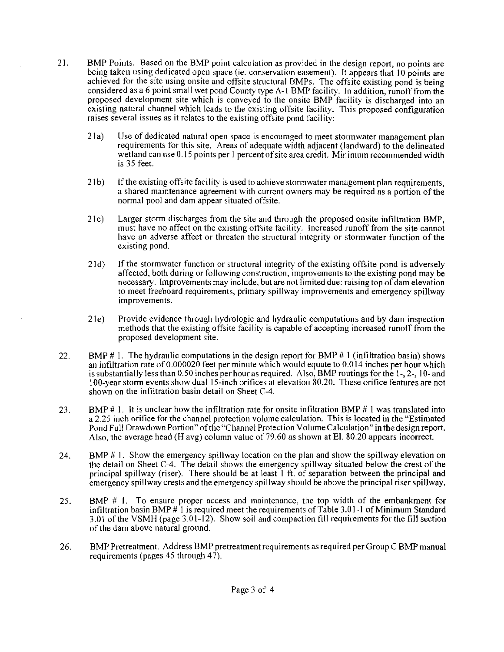- 21. BMP Points. Based on the BMP point calculation as provided in the design report, no points are being taken using dedicated open space (ie. conservation easement). It appears that 10 points are achieved for the site using onsite and offsite structural BMPs. The offsite existing pond is being considered as a 6 point small wet pond County type  $A-1$  BMP facility. In addition, runoff from the proposed development site which is conveyed to the onsite BMP facility is discharged into an existing natural channel which leads to the existing offsite facility. This proposed configuration raises several issues as it relates to the existing offsite pond facility:
	- 21a) Use of dedicated natural open space is encouraged to meet stormwater management plan requirements for this site. Areas of adequate width adjacent (landward) to the delineated wetland can use  $0.15$  points per 1 percent of site area credit. Minimum recommended width is 35 feet.
	- 21 b) If the existing offsite facility is used to achieve stormwater management plan requirements, a shared maintenance agreement with current owners may be required as a portion of the normal pool and dam appear situated offsite.
	- 21c) Larger storm discharges from the site and through the proposed onsite infiltration BMP, must liave no affect on the existing offsite facility. Increased runoff from the site cannot have an adverse affect or threaten the structural integrity or stormwater function of the existing pond.
	- 21d) If the stormwater function or structural integrity of the existing offsite pond is adversely affected. both during or following construction, improvements lo the existing pond may be necessary. Improvements may include, but are not limited due: raising top of dam elevation to meet freeboard requirements, primary spillway improvements and emergency spillway improvements.
	- 21e) Provide evidence through hydrologic and hydraulic computations and by dam inspection methods that the existing offsite facility is capable of accepting increased runoff from the proposed development site.
- 22. BMP # 1. The hydraulic computations in the design report for BMP # 1 (infiltration basin) shows an infiltration rate of 0.000020 feet per minute which would equate to 0.014 inches per hour which is substantially less than 0.50 inches per hour as required. Also, BMP routings for the I-, 2-, 10- and 100-year storm events show dual 15-inch orifices at elevation 80.20. These orifice features are not shown on the infiltration basin detail on Sheet C-4.
- 23. BMP  $# 1$ . It is unclear how the infiltration rate for onsite infiltration BMP  $# 1$  was translated into a 2.25 inch orifice for the channel protection volume calculation. This is located in the "Estimated" Pond Full Drawdown Portion" of the "Channel Protection Volume Calculation" in the design report. Also, the average head (H avg) column value of 79.60 as shown at El. 80.20 appears incorrect.
- 24. BMP # 1. Show the emergency spillway location on the plan and show the spillway elevation on the detail on Sheet C-4. The detail shows the emergency spillway situated below the crest of the principal spillway (riser). There should be at least  $1 \text{ ft}$  of separation between the principal and emergency spillway crests and the emergency spillway should be above the principal riser spillway.
- 25. BMP # I. To ensure proper access and maintenance, the top width of the embankment for infiltration basin BMP  $#$  1 is required meet the requirements of Table 3.01-1 of Minimum Standard 3.01 of the VSMH (page 3.01-12). Show soil and compaction fill requirements for the fill section of the dam above natural ground.
- 26. BMP Pretreatment. Address BMP pretreatment requirements as required per Group C BMP manual requirements (pages 45 through 47).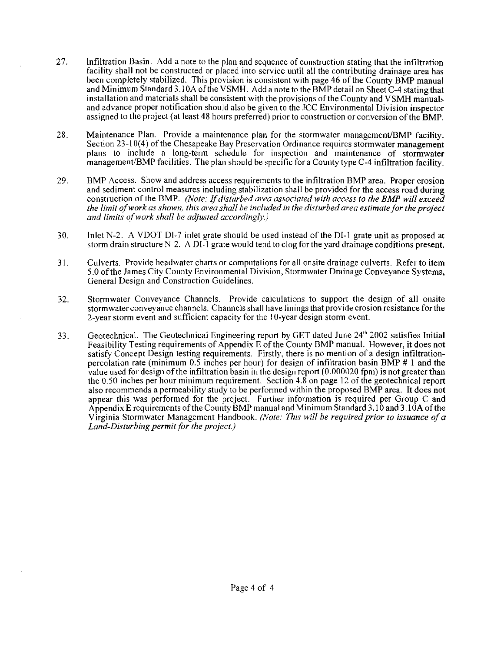- 27. Infiltration Basin. Add a note to the plan and sequence of construction stating that the infiltration facility shall not be constructed or placed into service until all the contributing drainage area has been completely stabilized. This provision is consistent with page 46 of the County BMP manual and Minimum Standard 3.10A of the VSMH. Add a note to the BMP detail on Sheet C-4 stating that installation and materials shall be consistent with the provisions of the County and VSMH manuals and advance proper notification should also be given to the JCC Environmental Division inspector assigned to the project (at least 48 hours preferred) prior to construction or conversion of the BMP.
- 28. Maintenance Plan. Provide a maintenance plan for the stormwater management/BMP facility. Section 23-10(4) of the Chesapeake Bay Preservation Ordinance requires stormwater management plans to include a long-term schedule for inspection and maintenance of stormwater management/BMP facilities. The plan should be specific for a County type C-4 infiltration facility.
- 29. BMP Access. Show and address access requirements to the infiltration BMP area. Proper erosion and sediment control measures including stabilization shall be provided for the access road during construction of the BMP. *(Note: Ifdisrurbed area associated with access to the BMP will exceed the limit of work as shown, this area shall be included in the disturbed area estimate for the project and limits of work shall be adjusted accordingly.)*
- 30. Inlet N-2. A VDOT Dl-7 inlet grate should be used instead of the DI-1 grate unit as proposed at storm drain structure N-2. A DI $\cdot$ 1 grate would tend to clog for the yard drainage conditions present.
- 3 1. Culverts. Provide headwater charts or computations for all onsite drainage culverts. Refer to item 5.0 ofthe James City County Environmental Division, Stormwater Drainage Conveyance Systems, General Design and Construction Guidelines.
- 32. Stormwater Conveyance Channels. Provide calculations to support the design of all onsite stormwater conveyance channels. Channels shall have linings that provide erosion resistance for the 2-year storm event and sufficient capacity for the 10-year design storm event.
- 33. Geotechnical. The Geotechnical Engineering report by GET dated June 24<sup>th</sup> 2002 satisfies Initial Feasibility Testing requirements of Appendix E ofthe County BMP manual. However, it does not satisfy Concept Design testing requirements. Firstly, there is no mention of a design infiltrationpercolation rate (minimum  $0.\overline{5}$  inches per hour) for design of infiltration basin BMP # 1 and the value used for design ofthe infiltration basin in the design report (0.000020 fpm) is not greaterthan the 0.50 inches per hour minimum requirement. Section 4.8 on page 12 of the geotechnical report also recommends apermeability study to be performed within the proposed BMP area. It does not appear this was performed for the project. Further information is required per Group C and Appendix E requirements of the County BMP manual and Minimum Standard 3.10 and 3.10 A of the Virginia Stormwater Management Handbook. *(Note: This will be required prior to issuance of a* Land-Disturbing permit for the project.)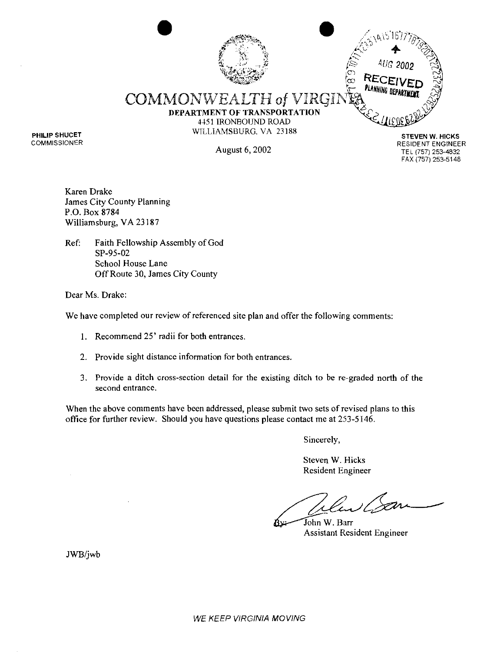### **.C?** . ,, \* **1-** : 3'  $\mathcal{L}$ **p y;,** *'3 'd* " . . /, '&g??<+<j\*<:; *2.''*   $-6.81$ .\*\*?,\*.VP **W\*\*.'**  PLANNING DEPAI COMMONWEALTH of **DEPARTMENT OF TRANSPORTATlON 445 1** IRONBOUND ROAD WILLIAMSBURG. VA 23188 **STEVEN W. HICKS**

Karen Drake James City County Planning P.O. Box 8784 Williamsburg, VA 23 187

**PHILIP SHUCET COMMISSIONER** 

> Ref: Faith Fellowship Assembly of God SP-95-02 School House Lane Off Route 30, James City County

Dear Ms. Drake:

We have completed our review of referenced site plan and offer the following comments:

- 1. Recommend 25' radii for both entrances.
- 2. Provide sight distance information for both entrances.
- 3. Provide a ditch cross-section detail for the existing ditch to be re-graded north of the second entrance.

When the above comments have been addressed, please submit two sets of revised plans to this office for further review. Should you have questions please contact me at 253-5146,

Sincerely,

Steven W. Hicks Resident Engineer

John W. Barr<br>Assistant Resident Engineer

JWB/jwb

**RESIDENT ENGINEER**  August 6,2002 **TEL** (757) **253-4832 FAX (757) 253-5148**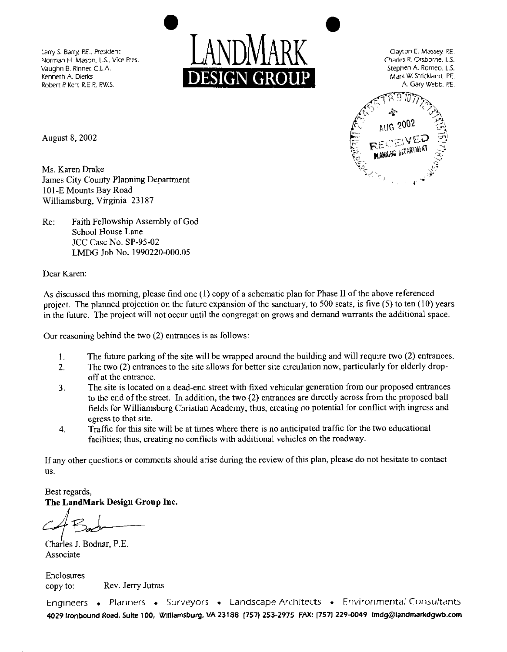Robert P. Kerr, R.E.P., P.W.S.





August 8,2002

Ms. Karen Drake James City County Planning Department 101 -E Mounts Bay Road Williamsburg, Virginia 23 I87

Re: Faith Fellowship Assembly of God School House Lane JCC Case No. SP-95-02 LMDG Job No. 1990220-000.05

Dear Karen:

As discussed this morning, please find one (I) copy of a schematic plan for Phase I1 of the above referenced project. The planned projection on the future expansion of the sanctuary, to 500 seats, is five *(5)* to ten (10) years in the future. The project will not occur until the congregation grows and demand warrants the additional space.

Our reasoning behind the two (2) entrances is as follows:

- 1. The future parking of the site will be wrapped around the building and will require two (2) entrances.<br>2. The two (2) entrances to the site allows for better site circulation now, particularly for elderly drop-
- The two (2) entrances to the site allows for better site circulation now, particularly for elderly dropoff at the entrance.
- 3. The site is located on a dead-end street with fixed vehicular generation from our proposed entrances to the end of the street. In addition, the two (2) entrances are directly across from the proposed ball fields for Williamsburg Christian Academy; thus, creating no potential for conflict with ingress and egress to that site.
- **4.** Traffic for this site will be at times where there is no anticipated traffic for the two educational facilities; thus, creating no conflicts with additional vehicles on the roadway.

If any other questions or comments should arise during the review of this plan, please do not hesitate to contact US.

Best regards, **The LandMark Design Group Inc.** 

**1** 

<sup>I</sup>Charles J. Bodnar, P.E. Associate

Enclosures copy to: Rev. Jerry Jutras

Engineers . Planners . Surveyors . Landscape Architects . Environmental Consultants 4029 **Ironbound Road, Suite** 100, **Williamsburg, VA** 23188 1757) 253-2975 **FAX:** (757) 229-0049 **Imdg@landrnalkdgwb.corn**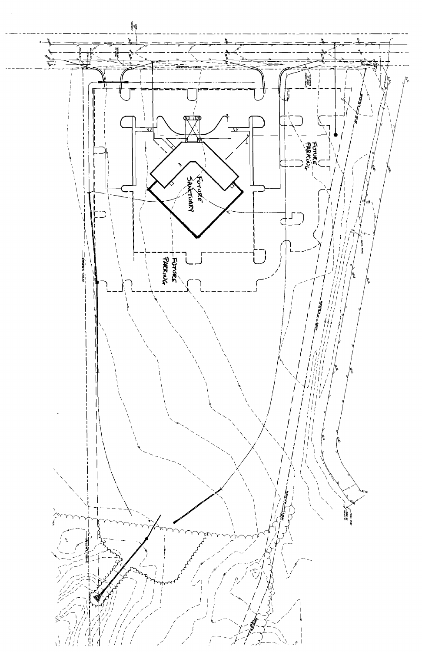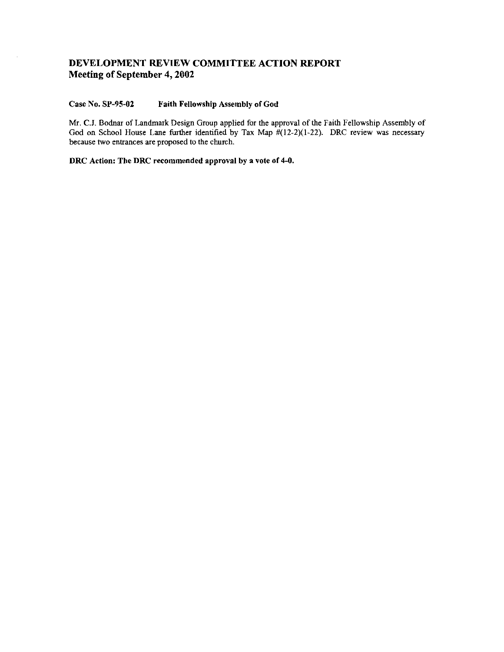# **DEVELOPMENT REVIEW COMMITTEE ACTION REPORT Meeting of September 4,2002**

#### **Case No. SP-95-02 Faith Fellowship Assembly of God**

Mr. **C.I.** Bodnar of Landmark Design Group applied for the approval of the Faith Fellowship Assembly of God on School House Lane further identified by Tax Map  $\#(12-2)(1-22)$ . DRC review was necessary because two entrances are proposed to the church.

**DRC Action: The DRC recommended approval by a vote of 4-0.**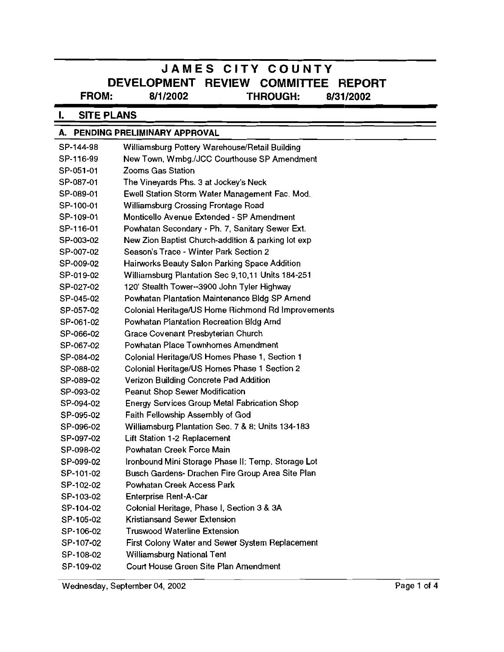# **JAMES CITY COUNTY DEVELOPMENT REVIEW COMMITTEE REPORT<br>FROM:** 8/1/2002 THROUGH: 8/31/2002 **FROM: 811 12002 'THROUGH: 8131 12002**

#### **SITE PLANS** L.

| A. PENDING PRELIMINARY APPROVAL |                                                     |             |
|---------------------------------|-----------------------------------------------------|-------------|
| SP-144-98                       | Williamsburg Pottery Warehouse/Retail Building      |             |
| SP-116-99                       | New Town, Wmbg./JCC Courthouse SP Amendment         |             |
| SP-051-01                       | Zooms Gas Station                                   |             |
| SP-087-01                       | The Vineyards Phs. 3 at Jockey's Neck               |             |
| SP-089-01                       | Ewell Station Storm Water Management Fac. Mod.      |             |
| SP-100-01                       | Williamsburg Crossing Frontage Road                 |             |
| SP-109-01                       | Monticello Avenue Extended - SP Amendment           |             |
| SP-116-01                       | Powhatan Secondary - Ph. 7, Sanitary Sewer Ext.     |             |
| SP-003-02                       | New Zion Baptist Church-addition & parking lot exp  |             |
| SP-007-02                       | Season's Trace - Winter Park Section 2              |             |
| SP-009-02                       | Hairworks Beauty Salon Parking Space Addition       |             |
| SP-019-02                       | Williamsburg Plantation Sec 9,10,11 Units 184-251   |             |
| SP-027-02                       | 120' Stealth Tower--3900 John Tyler Highway         |             |
| SP-045-02                       | Powhatan Plantation Maintenance Bldg SP Amend       |             |
| SP-057-02                       | Colonial Heritage/US Home Richmond Rd Improvements  |             |
| SP-061-02                       | Powhatan Plantation Recreation Bldg Amd             |             |
| SP-066-02                       | Grace Covenant Presbyterian Church                  |             |
| SP-067-02                       | Powhatan Place Townhomes Amendment                  |             |
| SP-084-02                       | Colonial Heritage/US Homes Phase 1, Section 1       |             |
| SP-088-02                       | Colonial Heritage/US Homes Phase 1 Section 2        |             |
| SP-089-02                       | Verizon Building Concrete Pad Addition              |             |
| SP-093-02                       | <b>Peanut Shop Sewer Modification</b>               |             |
| SP-094-02                       | <b>Energy Services Group Metal Fabrication Shop</b> |             |
| SP-095-02                       | Faith Fellowship Assembly of God                    |             |
| SP-096-02                       | Williamsburg Plantation Sec. 7 & 8: Units 134-183   |             |
| SP-097-02                       | Lift Station 1-2 Replacement                        |             |
| SP-098-02                       | Powhatan Creek Force Main                           |             |
| SP-099-02                       | Ironbound Mini Storage Phase II: Temp. Storage Lot  |             |
| SP-101-02                       | Busch Gardens- Drachen Fire Group Area Site Plan    |             |
| SP-102-02                       | Powhatan Creek Access Park                          |             |
| SP-103-02                       | Enterprise Rent-A-Car                               |             |
| SP-104-02                       | Colonial Heritage, Phase I, Section 3 & 3A          |             |
| SP-105-02                       | Kristiansand Sewer Extension                        |             |
| SP-106-02                       | <b>Truswood Waterline Extension</b>                 |             |
| SP-107-02                       | First Colony Water and Sewer System Replacement     |             |
| SP-108-02                       | <b>Williamsburg National Tent</b>                   |             |
| SP-109-02                       | Court House Green Site Plan Amendment               |             |
|                                 | Wednesday, September 04, 2002                       | Page 1 of 4 |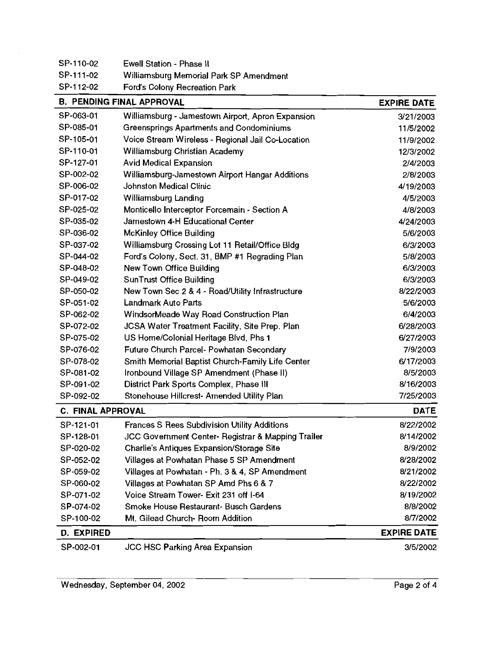| SP-110-02                | Ewell Station - Phase II                           |                    |
|--------------------------|----------------------------------------------------|--------------------|
| SP-111-02                | Williamsburg Memorial Park SP Amendment            |                    |
| SP-112-02                | Ford's Colony Recreation Park                      |                    |
|                          | <b>B. PENDING FINAL APPROVAL</b>                   | <b>EXPIRE DATE</b> |
| SP-063-01                | Williamsburg - Jamestown Airport, Apron Expansion  | 3/21/2003          |
| SP-085-01                | Greensprings Apartments and Condominiums           | 11/5/2002          |
| SP-105-01                | Voice Stream Wireless - Regional Jail Co-Location  | 11/9/2002          |
| SP-110-01                | Williamsburg Christian Academy                     | 12/3/2002          |
| SP-127-01                | <b>Avid Medical Expansion</b>                      | 2/4/2003           |
| SP-002-02                | Williamsburg-Jamestown Airport Hangar Additions    | 2/8/2003           |
| SP-006-02                | Johnston Medical Clinic                            | 4/19/2003          |
| SP-017-02                | Williamsburg Landing                               | 4/5/2003           |
| SP-025-02                | Monticello Interceptor Forcemain - Section A       | 4/8/2003           |
| SP-035-02                | Jamestown 4-H Educational Center                   | 4/24/2003          |
| SP-036-02                | <b>McKinley Office Building</b>                    | 5/6/2003           |
| SP-037-02                | Williamsburg Crossing Lot 11 Retail/Office Bldg    | 6/3/2003           |
| SP-044-02                | Ford's Colony, Sect. 31, BMP #1 Regrading Plan     | 5/8/2003           |
| SP-048-02                | New Town Office Building                           | 6/3/2003           |
| SP-049-02                | <b>SunTrust Office Building</b>                    | 6/3/2003           |
| SP-050-02                | New Town Sec 2 & 4 - Road/Utility Infrastructure   | 8/22/2003          |
| SP-051-02                | <b>Landmark Auto Parts</b>                         | 5/6/2003           |
| SP-062-02                | WindsorMeade Way Road Construction Plan            | 6/4/2003           |
| SP-072-02                | JCSA Water Treatment Facility, Site Prep. Plan     | 6/28/2003          |
| SP-075-02                | US Home/Colonial Heritage Blvd, Phs 1              | 6/27/2003          |
| SP-076-02                | Future Church Parcel- Powhatan Secondary           | 7/9/2003           |
| SP-078-02                | Smith Memorial Baptist Church-Family Life Center   | 6/17/2003          |
| SP-081-02                | Ironbound Village SP Amendment (Phase II)          | 8/5/2003           |
| SP-091-02                | District Park Sports Complex, Phase III            | 8/16/2003          |
| SP-092-02                | Stonehouse Hillcrest- Amended Utility Plan         | 7/25/2003          |
| <b>C. FINAL APPROVAL</b> |                                                    | <b>DATE</b>        |
| SP-121-01                | Frances S Rees Subdivision Utility Additions       | 8/22/2002          |
| SP-128-01                | JCC Government Center- Registrar & Mapping Trailer | 8/14/2002          |
| SP-020-02                | Charlie's Antiques Expansion/Storage Site          | 8/9/2002           |
| SP-052-02                | Villages at Powhatan Phase 5 SP Amendment          | 8/28/2002          |
| SP-059-02                | Villages at Powhatan - Ph. 3 & 4, SP Amendment     | 8/21/2002          |
| SP-060-02                | Villages at Powhatan SP Amd Phs 6 & 7              | 8/22/2002          |
| SP-071-02                | Voice Stream Tower- Exit 231 off I-64              | 8/19/2002          |
| SP-074-02                | Smoke House Restaurant- Busch Gardens              | 8/8/2002           |
| SP-100-02                | Mt. Gilead Church- Room Addition                   | 8/7/2002           |
| D. EXPIRED               |                                                    | <b>EXPIRE DATE</b> |
| SP-002-01                | <b>JCC HSC Parking Area Expansion</b>              | 3/5/2002           |

 $\sim 10$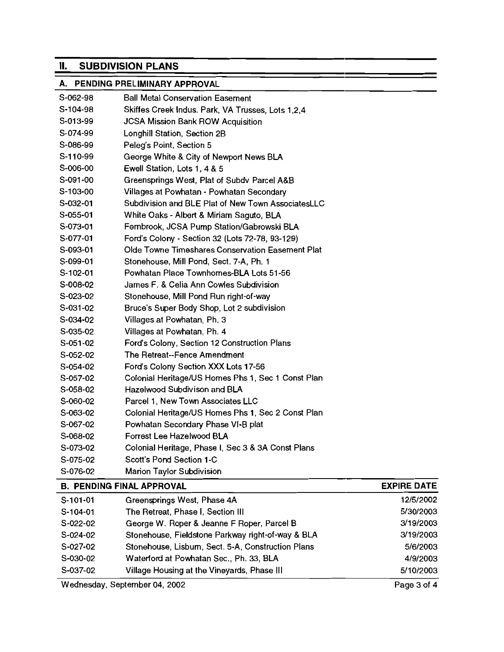# **II. SUBDIVISION PLANS**

# A. PENDING PRELIMINARY APPROVAL

| S-062-98   | <b>Ball Metal Conservation Easement</b>            |                    |
|------------|----------------------------------------------------|--------------------|
| S-104-98   | Skiffes Creek Indus. Park, VA Trusses, Lots 1,2,4  |                    |
| S-013-99   | <b>JCSA Mission Bank ROW Acquisition</b>           |                    |
| S-074-99   | Longhill Station, Section 2B                       |                    |
| S-086-99   | Peleg's Point, Section 5                           |                    |
| S-110-99   | George White & City of Newport News BLA            |                    |
| S-006-00   | Ewell Station, Lots 1, 4 & 5                       |                    |
| S-091-00   | Greensprings West, Plat of Subdy Parcel A&B        |                    |
| S-103-00   | Villages at Powhatan - Powhatan Secondary          |                    |
| S-032-01   | Subdivision and BLE Plat of New Town AssociatesLLC |                    |
| S-055-01   | White Oaks - Albert & Miriam Saguto, BLA           |                    |
| S-073-01   | Fernbrook, JCSA Pump Station/Gabrowski BLA         |                    |
| S-077-01   | Ford's Colony - Section 32 (Lots 72-78, 93-129)    |                    |
| S-093-01   | Olde Towne Timeshares Conservation Easement Plat   |                    |
| S-099-01   | Stonehouse, Mill Pond, Sect. 7-A, Ph. 1            |                    |
| $S-102-01$ | Powhatan Place Townhomes-BLA Lots 51-56            |                    |
| S-008-02   | James F. & Celia Ann Cowles Subdivision            |                    |
| S-023-02   | Stonehouse, Mill Pond Run right-of-way             |                    |
| S-031-02   | Bruce's Super Body Shop, Lot 2 subdivision         |                    |
| S-034-02   | Villages at Powhatan, Ph. 3                        |                    |
| S-035-02   | Villages at Powhatan, Ph. 4                        |                    |
| S-051-02   | Ford's Colony, Section 12 Construction Plans       |                    |
| S-052-02   | The Retreat--Fence Amendment                       |                    |
| S-054-02   | Ford's Colony Section XXX Lots 17-56               |                    |
| S-057-02   | Colonial Heritage/US Homes Phs 1, Sec 1 Const Plan |                    |
| $S-058-02$ | Hazelwood Subdivison and BLA                       |                    |
| S-060-02   | Parcel 1, New Town Associates LLC                  |                    |
| S-063-02   | Colonial Heritage/US Homes Phs 1, Sec 2 Const Plan |                    |
| S-067-02   | Powhatan Secondary Phase VI-B plat                 |                    |
| S-068-02   | Forrest Lee Hazelwood BLA                          |                    |
| S-073-02   | Colonial Heritage, Phase I, Sec 3 & 3A Const Plans |                    |
| S-075-02   | Scott's Pond Section 1-C                           |                    |
| S-076-02   | <b>Marion Taylor Subdivision</b>                   |                    |
|            | <b>B. PENDING FINAL APPROVAL</b>                   | <b>EXPIRE DATE</b> |

| $S-101-01$ | Greensprings West, Phase 4A                       | 12/5/2002 |
|------------|---------------------------------------------------|-----------|
| S-104-01   | The Retreat, Phase I, Section III                 | 5/30/2003 |
| $S-022-02$ | George W. Roper & Jeanne F Roper, Parcel B        | 3/19/2003 |
| $S-024-02$ | Stonehouse, Fieldstone Parkway right-of-way & BLA | 3/19/2003 |
| S-027-02   | Stonehouse, Lisbum, Sect. 5-A, Construction Plans | 5/6/2003  |
| S-030-02   | Waterford at Powhatan Sec., Ph. 33, BLA           | 4/9/2003  |
| S-037-02   | Village Housing at the Vineyards, Phase III       | 5/10/2003 |

Wednesday, September 04, 2002 Page 3 of 4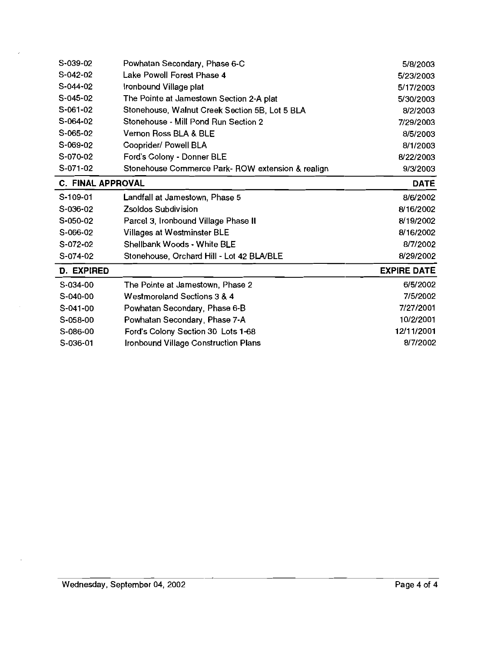| S-039-02                 | Powhatan Secondary, Phase 6-C                     | 5/8/2003           |
|--------------------------|---------------------------------------------------|--------------------|
| S-042-02                 | Lake Powell Forest Phase 4                        | 5/23/2003          |
| S-044-02                 | Ironbound Village plat                            | 5/17/2003          |
| $S-045-02$               | The Pointe at Jamestown Section 2-A plat          | 5/30/2003          |
| S-061-02                 | Stonehouse, Walnut Creek Section 5B, Lot 5 BLA    | 8/2/2003           |
| S-064-02                 | Stonehouse - Mill Pond Run Section 2              | 7/29/2003          |
| S-065-02                 | Vernon Ross BLA & BLE                             | 8/5/2003           |
| S-069-02                 | Cooprider/ Powell BLA                             | 8/1/2003           |
| S-070-02                 | Ford's Colony - Donner BLE                        | 8/22/2003          |
| S-071-02                 | Stonehouse Commerce Park- ROW extension & realign | 9/3/2003           |
| <b>C. FINAL APPROVAL</b> |                                                   | <b>DATE</b>        |
| S-109-01                 | Landfall at Jamestown, Phase 5                    | 8/6/2002           |
| S-036-02                 | Zsoldos Subdivision                               | 8/16/2002          |
| S-050-02                 | Parcel 3, Ironbound Village Phase II              | 8/19/2002          |
| S-066-02                 | <b>Villages at Westminster BLE</b>                | 8/16/2002          |
| S-072-02                 | Shellbank Woods - White BLE                       | 8/7/2002           |
| S-074-02                 | Stonehouse, Orchard Hill - Lot 42 BLA/BLE         | 8/29/2002          |
| <b>D. EXPIRED</b>        |                                                   | <b>EXPIRE DATE</b> |
| S-034-00                 | The Pointe at Jamestown, Phase 2                  | 6/5/2002           |
| S-040-00                 | Westmoreland Sections 3 & 4                       | 7/5/2002           |
| $S-041-00$               | Powhatan Secondary, Phase 6-B                     | 7/27/2001          |
| $S-058-00$               | Powhatan Secondary, Phase 7-A                     | 10/2/2001          |
| S-086-00                 | Ford's Colony Section 30 Lots 1-68                | 12/11/2001         |
| S-036-01                 | Ironbound Village Construction Plans              | 8/7/2002           |

 $\omega$ 

 $\sim$ 

÷,